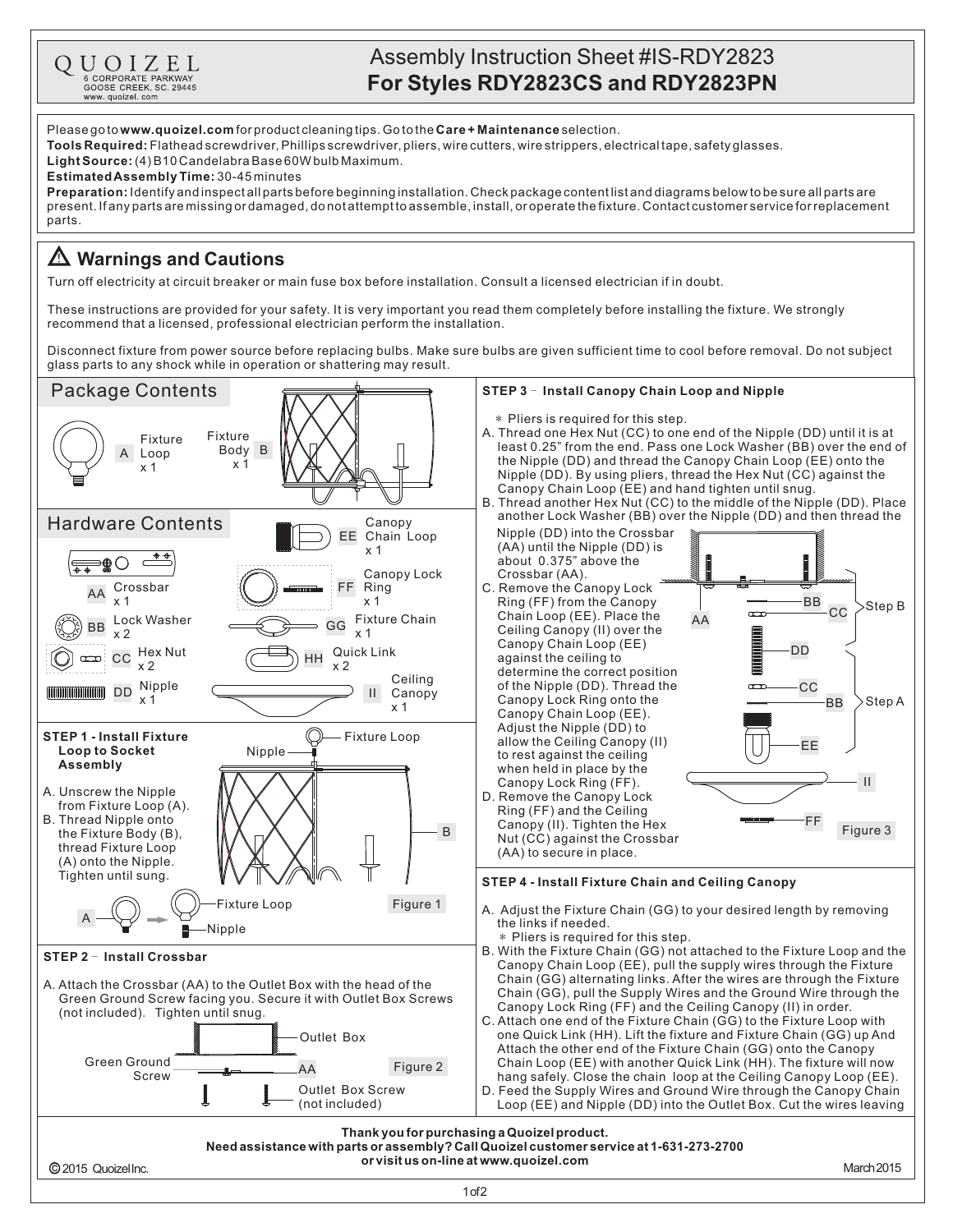